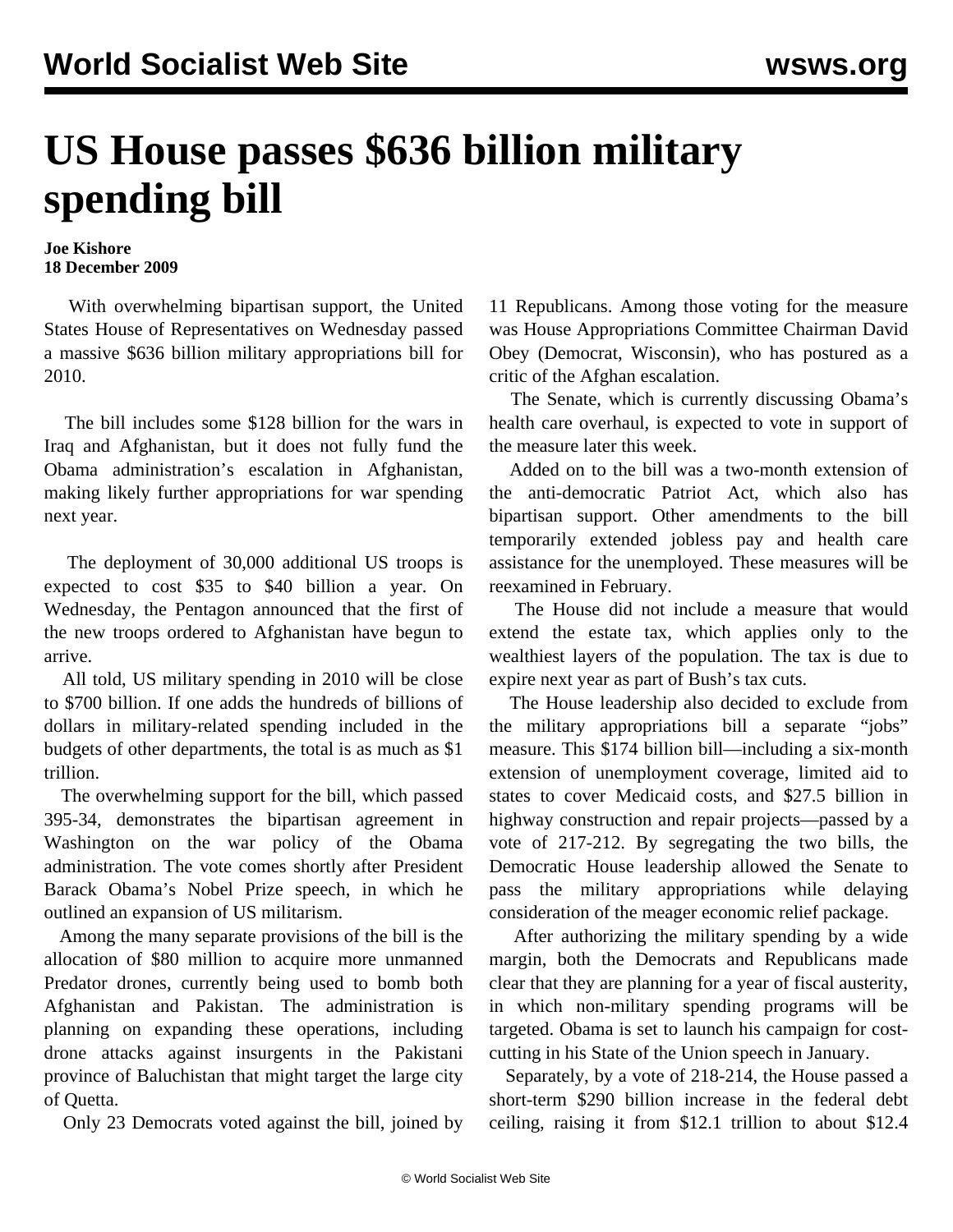## **US House passes \$636 billion military spending bill**

## **Joe Kishore 18 December 2009**

 With overwhelming bipartisan support, the United States House of Representatives on Wednesday passed a massive \$636 billion military appropriations bill for 2010.

 The bill includes some \$128 billion for the wars in Iraq and Afghanistan, but it does not fully fund the Obama administration's escalation in Afghanistan, making likely further appropriations for war spending next year.

 The deployment of 30,000 additional US troops is expected to cost \$35 to \$40 billion a year. On Wednesday, the Pentagon announced that the first of the new troops ordered to Afghanistan have begun to arrive.

 All told, US military spending in 2010 will be close to \$700 billion. If one adds the hundreds of billions of dollars in military-related spending included in the budgets of other departments, the total is as much as \$1 trillion.

 The overwhelming support for the bill, which passed 395-34, demonstrates the bipartisan agreement in Washington on the war policy of the Obama administration. The vote comes shortly after President Barack Obama's Nobel Prize speech, in which he outlined an expansion of US militarism.

 Among the many separate provisions of the bill is the allocation of \$80 million to acquire more unmanned Predator drones, currently being used to bomb both Afghanistan and Pakistan. The administration is planning on expanding these operations, including drone attacks against insurgents in the Pakistani province of Baluchistan that might target the large city of Quetta.

Only 23 Democrats voted against the bill, joined by

11 Republicans. Among those voting for the measure was House Appropriations Committee Chairman David Obey (Democrat, Wisconsin), who has postured as a critic of the Afghan escalation.

 The Senate, which is currently discussing Obama's health care overhaul, is expected to vote in support of the measure later this week.

 Added on to the bill was a two-month extension of the anti-democratic Patriot Act, which also has bipartisan support. Other amendments to the bill temporarily extended jobless pay and health care assistance for the unemployed. These measures will be reexamined in February.

 The House did not include a measure that would extend the estate tax, which applies only to the wealthiest layers of the population. The tax is due to expire next year as part of Bush's tax cuts.

 The House leadership also decided to exclude from the military appropriations bill a separate "jobs" measure. This \$174 billion bill—including a six-month extension of unemployment coverage, limited aid to states to cover Medicaid costs, and \$27.5 billion in highway construction and repair projects—passed by a vote of 217-212. By segregating the two bills, the Democratic House leadership allowed the Senate to pass the military appropriations while delaying consideration of the meager economic relief package.

 After authorizing the military spending by a wide margin, both the Democrats and Republicans made clear that they are planning for a year of fiscal austerity, in which non-military spending programs will be targeted. Obama is set to launch his campaign for costcutting in his State of the Union speech in January.

 Separately, by a vote of 218-214, the House passed a short-term \$290 billion increase in the federal debt ceiling, raising it from \$12.1 trillion to about \$12.4